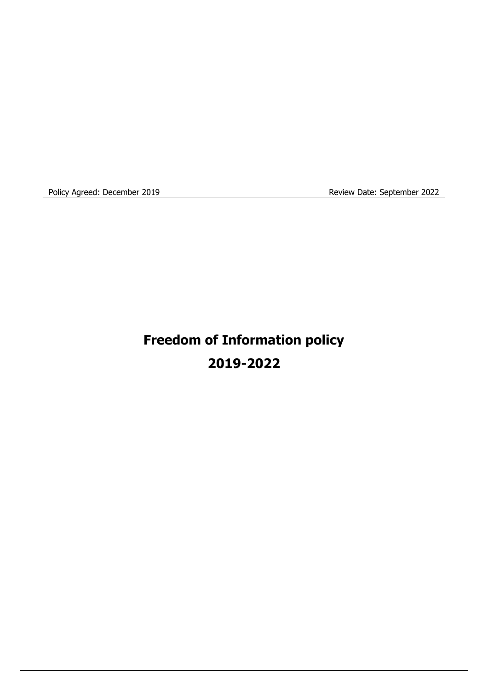Policy Agreed: December 2019 **Review Date: September 2022** 

# **Freedom of Information policy 2019-2022**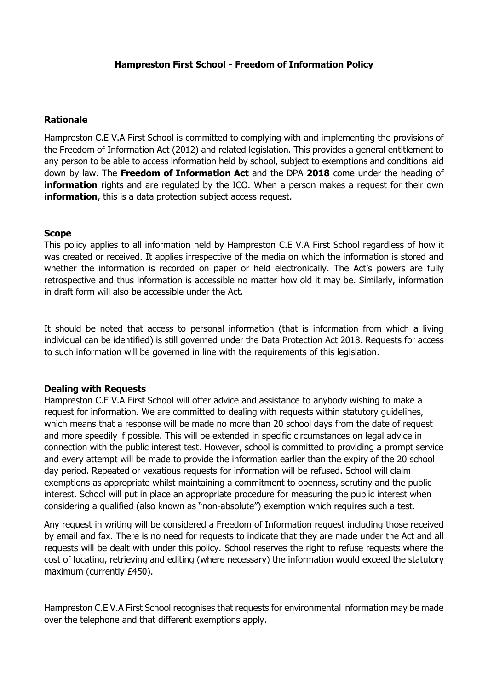## **Hampreston First School - Freedom of Information Policy**

#### **Rationale**

Hampreston C.E V.A First School is committed to complying with and implementing the provisions of the Freedom of Information Act (2012) and related legislation. This provides a general entitlement to any person to be able to access information held by school, subject to exemptions and conditions laid down by law. The **Freedom of Information Act** and the DPA **2018** come under the heading of **information** rights and are regulated by the ICO. When a person makes a request for their own **information**, this is a data protection subject access request.

#### **Scope**

This policy applies to all information held by Hampreston C.E V.A First School regardless of how it was created or received. It applies irrespective of the media on which the information is stored and whether the information is recorded on paper or held electronically. The Act's powers are fully retrospective and thus information is accessible no matter how old it may be. Similarly, information in draft form will also be accessible under the Act.

It should be noted that access to personal information (that is information from which a living individual can be identified) is still governed under the Data Protection Act 2018. Requests for access to such information will be governed in line with the requirements of this legislation.

#### **Dealing with Requests**

Hampreston C.E V.A First School will offer advice and assistance to anybody wishing to make a request for information. We are committed to dealing with requests within statutory guidelines, which means that a response will be made no more than 20 school days from the date of request and more speedily if possible. This will be extended in specific circumstances on legal advice in connection with the public interest test. However, school is committed to providing a prompt service and every attempt will be made to provide the information earlier than the expiry of the 20 school day period. Repeated or vexatious requests for information will be refused. School will claim exemptions as appropriate whilst maintaining a commitment to openness, scrutiny and the public interest. School will put in place an appropriate procedure for measuring the public interest when considering a qualified (also known as "non-absolute") exemption which requires such a test.

Any request in writing will be considered a Freedom of Information request including those received by email and fax. There is no need for requests to indicate that they are made under the Act and all requests will be dealt with under this policy. School reserves the right to refuse requests where the cost of locating, retrieving and editing (where necessary) the information would exceed the statutory maximum (currently £450).

Hampreston C.E V.A First School recognises that requests for environmental information may be made over the telephone and that different exemptions apply.